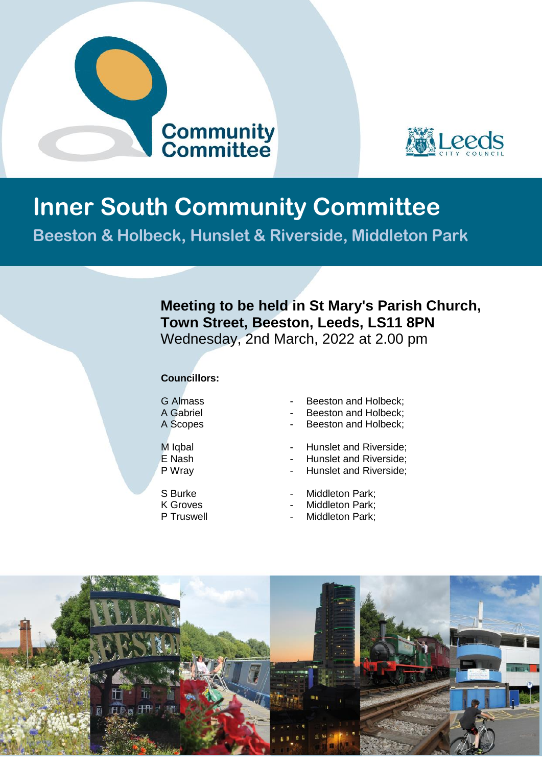



# **Inner South Community Committee**

**Beeston & Holbeck, Hunslet & Riverside, Middleton Park**

## **Meeting to be held in St Mary's Parish Church, Town Street, Beeston, Leeds, LS11 8PN** Wednesday, 2nd March, 2022 at 2.00 pm

### **Councillors:**

- 
- 
- 
- G Almass  **Beeston and Holbeck;**<br>A Gabriel  **Beeston and Holbeck**:
- A Gabriel **-** Beeston and Holbeck;<br>A Scopes Beeston and Holbeck;
	- Beeston and Holbeck;
- M Igbal **M** Igbal **M Hunslet and Riverside**;
- E Nash **-** Hunslet and Riverside;
- P Wray  **Hunslet and Riverside**;
- S Burke Middleton Park;<br>K Groves Middleton Park:
- K Groves  **Middleton Park;**<br>P Truswell  **Middleton Park** 
	- Middleton Park;

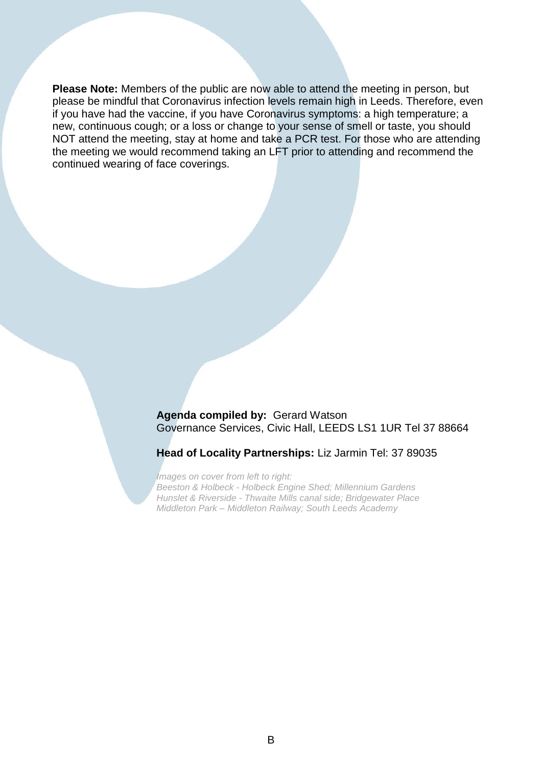**Please Note:** Members of the public are now able to attend the meeting in person, but please be mindful that Coronavirus infection levels remain high in Leeds. Therefore, even if you have had the vaccine, if you have Coronavirus symptoms: a high temperature; a new, continuous cough; or a loss or change to your sense of smell or taste, you should NOT attend the meeting, stay at home and take a PCR test. For those who are attending the meeting we would recommend taking an LFT prior to attending and recommend the continued wearing of face coverings.

> **Agenda compiled by:** Gerard Watson Governance Services, Civic Hall, LEEDS LS1 1UR Tel 37 88664

#### **Head of Locality Partnerships:** Liz Jarmin Tel: 37 89035

*Images on cover from left to right: Beeston & Holbeck - Holbeck Engine Shed; Millennium Gardens Hunslet & Riverside - Thwaite Mills canal side; Bridgewater Place Middleton Park – Middleton Railway; South Leeds Academy*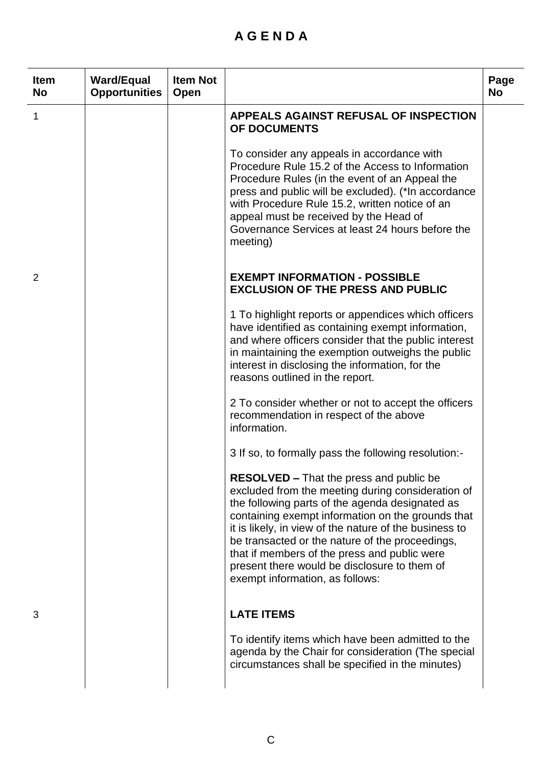## **A G E N D A**

| <b>Item</b><br><b>No</b> | <b>Ward/Equal</b><br><b>Opportunities</b> | <b>Item Not</b><br>Open |                                                                                                                                                                                                                                                                                                                                                                                                                                                             | Page<br><b>No</b> |
|--------------------------|-------------------------------------------|-------------------------|-------------------------------------------------------------------------------------------------------------------------------------------------------------------------------------------------------------------------------------------------------------------------------------------------------------------------------------------------------------------------------------------------------------------------------------------------------------|-------------------|
| 1                        |                                           |                         | APPEALS AGAINST REFUSAL OF INSPECTION<br>OF DOCUMENTS                                                                                                                                                                                                                                                                                                                                                                                                       |                   |
|                          |                                           |                         | To consider any appeals in accordance with<br>Procedure Rule 15.2 of the Access to Information<br>Procedure Rules (in the event of an Appeal the<br>press and public will be excluded). (*In accordance<br>with Procedure Rule 15.2, written notice of an<br>appeal must be received by the Head of<br>Governance Services at least 24 hours before the<br>meeting)                                                                                         |                   |
| 2                        |                                           |                         | <b>EXEMPT INFORMATION - POSSIBLE</b><br><b>EXCLUSION OF THE PRESS AND PUBLIC</b>                                                                                                                                                                                                                                                                                                                                                                            |                   |
|                          |                                           |                         | 1 To highlight reports or appendices which officers<br>have identified as containing exempt information,<br>and where officers consider that the public interest<br>in maintaining the exemption outweighs the public<br>interest in disclosing the information, for the<br>reasons outlined in the report.                                                                                                                                                 |                   |
|                          |                                           |                         | 2 To consider whether or not to accept the officers<br>recommendation in respect of the above<br>information.                                                                                                                                                                                                                                                                                                                                               |                   |
|                          |                                           |                         | 3 If so, to formally pass the following resolution:-                                                                                                                                                                                                                                                                                                                                                                                                        |                   |
|                          |                                           |                         | <b>RESOLVED - That the press and public be</b><br>excluded from the meeting during consideration of<br>the following parts of the agenda designated as<br>containing exempt information on the grounds that<br>it is likely, in view of the nature of the business to<br>be transacted or the nature of the proceedings,<br>that if members of the press and public were<br>present there would be disclosure to them of<br>exempt information, as follows: |                   |
| 3                        |                                           |                         | <b>LATE ITEMS</b>                                                                                                                                                                                                                                                                                                                                                                                                                                           |                   |
|                          |                                           |                         | To identify items which have been admitted to the<br>agenda by the Chair for consideration (The special<br>circumstances shall be specified in the minutes)                                                                                                                                                                                                                                                                                                 |                   |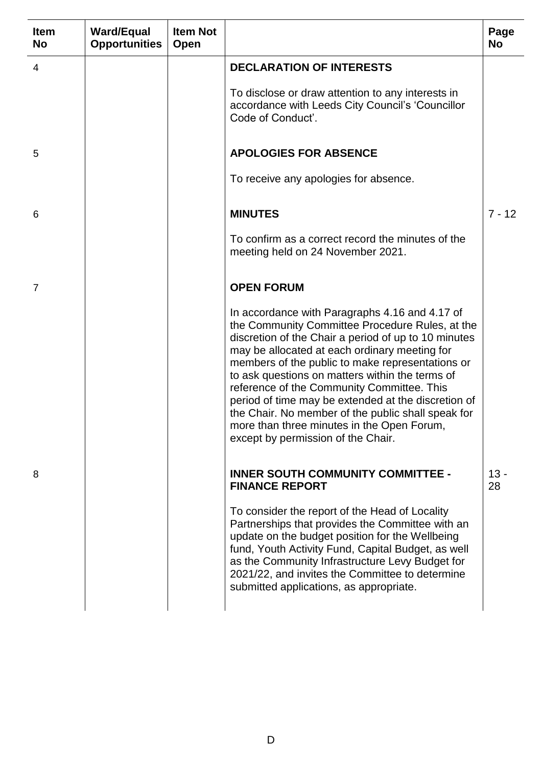| <b>Item</b><br><b>No</b> | <b>Ward/Equal</b><br><b>Opportunities</b> | <b>Item Not</b><br>Open |                                                                                                                                                                                                                                                                                                                                                                                                                                                                                                                                                                  | Page<br><b>No</b> |
|--------------------------|-------------------------------------------|-------------------------|------------------------------------------------------------------------------------------------------------------------------------------------------------------------------------------------------------------------------------------------------------------------------------------------------------------------------------------------------------------------------------------------------------------------------------------------------------------------------------------------------------------------------------------------------------------|-------------------|
| 4                        |                                           |                         | <b>DECLARATION OF INTERESTS</b>                                                                                                                                                                                                                                                                                                                                                                                                                                                                                                                                  |                   |
|                          |                                           |                         | To disclose or draw attention to any interests in<br>accordance with Leeds City Council's 'Councillor<br>Code of Conduct'.                                                                                                                                                                                                                                                                                                                                                                                                                                       |                   |
| 5                        |                                           |                         | <b>APOLOGIES FOR ABSENCE</b>                                                                                                                                                                                                                                                                                                                                                                                                                                                                                                                                     |                   |
|                          |                                           |                         | To receive any apologies for absence.                                                                                                                                                                                                                                                                                                                                                                                                                                                                                                                            |                   |
| 6                        |                                           |                         | <b>MINUTES</b>                                                                                                                                                                                                                                                                                                                                                                                                                                                                                                                                                   | $7 - 12$          |
|                          |                                           |                         | To confirm as a correct record the minutes of the<br>meeting held on 24 November 2021.                                                                                                                                                                                                                                                                                                                                                                                                                                                                           |                   |
| $\overline{7}$           |                                           |                         | <b>OPEN FORUM</b>                                                                                                                                                                                                                                                                                                                                                                                                                                                                                                                                                |                   |
|                          |                                           |                         | In accordance with Paragraphs 4.16 and 4.17 of<br>the Community Committee Procedure Rules, at the<br>discretion of the Chair a period of up to 10 minutes<br>may be allocated at each ordinary meeting for<br>members of the public to make representations or<br>to ask questions on matters within the terms of<br>reference of the Community Committee. This<br>period of time may be extended at the discretion of<br>the Chair. No member of the public shall speak for<br>more than three minutes in the Open Forum,<br>except by permission of the Chair. |                   |
| 8                        |                                           |                         | <b>INNER SOUTH COMMUNITY COMMITTEE -</b><br><b>FINANCE REPORT</b>                                                                                                                                                                                                                                                                                                                                                                                                                                                                                                | $13 -$<br>28      |
|                          |                                           |                         | To consider the report of the Head of Locality<br>Partnerships that provides the Committee with an<br>update on the budget position for the Wellbeing<br>fund, Youth Activity Fund, Capital Budget, as well<br>as the Community Infrastructure Levy Budget for<br>2021/22, and invites the Committee to determine<br>submitted applications, as appropriate.                                                                                                                                                                                                     |                   |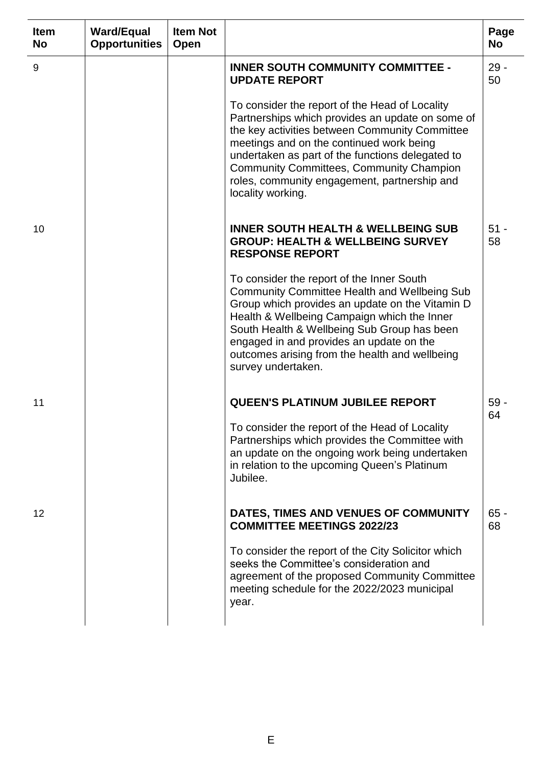| <b>Item</b><br><b>No</b> | <b>Ward/Equal</b><br><b>Opportunities</b> | <b>Item Not</b><br>Open |                                                                                                                                                                                                                                                                                                                                                                              | Page<br><b>No</b> |
|--------------------------|-------------------------------------------|-------------------------|------------------------------------------------------------------------------------------------------------------------------------------------------------------------------------------------------------------------------------------------------------------------------------------------------------------------------------------------------------------------------|-------------------|
| 9                        |                                           |                         | <b>INNER SOUTH COMMUNITY COMMITTEE -</b><br><b>UPDATE REPORT</b>                                                                                                                                                                                                                                                                                                             | $29 -$<br>50      |
|                          |                                           |                         | To consider the report of the Head of Locality<br>Partnerships which provides an update on some of<br>the key activities between Community Committee<br>meetings and on the continued work being<br>undertaken as part of the functions delegated to<br><b>Community Committees, Community Champion</b><br>roles, community engagement, partnership and<br>locality working. |                   |
| 10                       |                                           |                         | <b>INNER SOUTH HEALTH &amp; WELLBEING SUB</b><br><b>GROUP: HEALTH &amp; WELLBEING SURVEY</b><br><b>RESPONSE REPORT</b>                                                                                                                                                                                                                                                       | $51 -$<br>58      |
|                          |                                           |                         | To consider the report of the Inner South<br><b>Community Committee Health and Wellbeing Sub</b><br>Group which provides an update on the Vitamin D<br>Health & Wellbeing Campaign which the Inner<br>South Health & Wellbeing Sub Group has been<br>engaged in and provides an update on the<br>outcomes arising from the health and wellbeing<br>survey undertaken.        |                   |
| 11                       |                                           |                         | <b>QUEEN'S PLATINUM JUBILEE REPORT</b>                                                                                                                                                                                                                                                                                                                                       | $59 -$<br>64      |
|                          |                                           |                         | To consider the report of the Head of Locality<br>Partnerships which provides the Committee with<br>an update on the ongoing work being undertaken<br>in relation to the upcoming Queen's Platinum<br>Jubilee.                                                                                                                                                               |                   |
| 12                       |                                           |                         | DATES, TIMES AND VENUES OF COMMUNITY<br><b>COMMITTEE MEETINGS 2022/23</b>                                                                                                                                                                                                                                                                                                    | $65 -$<br>68      |
|                          |                                           |                         | To consider the report of the City Solicitor which<br>seeks the Committee's consideration and<br>agreement of the proposed Community Committee<br>meeting schedule for the 2022/2023 municipal<br>year.                                                                                                                                                                      |                   |